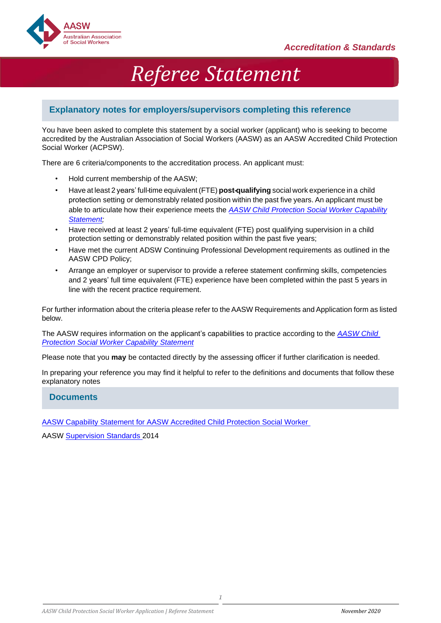

# *Referee Statement*

#### **Explanatory notes for employers/supervisors completing this reference**

You have been asked to complete this statement by a social worker (applicant) who is seeking to become accredited by the Australian Association of Social Workers (AASW) as an AASW Accredited Child Protection Social Worker (ACPSW).

There are 6 criteria/components to the accreditation process. An applicant must:

- Hold current membership of the AASW;
- Have at least 2 years' full-time equivalent (FTE) **post-qualifying** social work experience in a child protection setting or demonstrably related position within the past five years. An applicant must be able to articulate how their experience meets the *[AASW Child Protection Social Worker Capability](https://www.aasw.asn.au/document/item/12967) [Statement;](https://www.aasw.asn.au/document/item/12967)*
- Have received at least 2 years' full-time equivalent (FTE) post qualifying supervision in a child protection setting or demonstrably related position within the past five years;
- Have met the current ADSW Continuing Professional Development requirements as outlined in the AASW CPD Policy;
- Arrange an employer or supervisor to provide a referee statement confirming skills, competencies and 2 years' full time equivalent (FTE) experience have been completed within the past 5 years in line with the recent practice requirement.

For further information about the criteria please refer to theAASW Requirements and Application form as listed below.

The AASW requires information on the applicant's capabilities to practice according to the *[AASW Child](https://www.aasw.asn.au/document/item/12967)  Protection [Social Worker Capability Statement](https://www.aasw.asn.au/document/item/12967)*

Please note that you **may** be contacted directly by the assessing officer if further clarification is needed.

In preparing your reference you may find it helpful to refer to the definitions and documents that follow these explanatory notes

#### **Documents**

[AASW Capability Statement](https://www.aasw.asn.au/document/item/12967) for AASW Accredited Child Protection Social Worker

AASW [Supervision Standards 2](http://www.aasw.asn.au/document/item/6027)014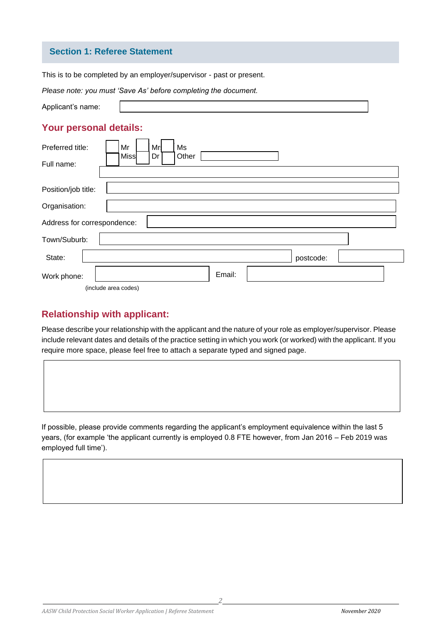#### **Section 1: Referee Statement**

This is to be completed by an employer/supervisor - past or present.

|                                | Please note: you must 'Save As' before completing the document. |
|--------------------------------|-----------------------------------------------------------------|
| Applicant's name:              |                                                                 |
| <b>Your personal details:</b>  |                                                                 |
| Preferred title:<br>Full name: | Mr<br>Ms<br>Mr<br>Dr<br>Miss<br>Other                           |
| Position/job title:            |                                                                 |
| Organisation:                  |                                                                 |
| Address for correspondence:    |                                                                 |
| Town/Suburb:                   |                                                                 |
| State:                         | postcode:                                                       |
| Work phone:                    | Email:                                                          |
| (include area codes)           |                                                                 |

# **Relationship with applicant:**

Please describe your relationship with the applicant and the nature of your role as employer/supervisor. Please include relevant dates and details of the practice setting in which you work (or worked) with the applicant. If you require more space, please feel free to attach a separate typed and signed page.

If possible, please provide comments regarding the applicant's employment equivalence within the last 5 years, (for example 'the applicant currently is employed 0.8 FTE however, from Jan 2016 – Feb 2019 was employed full time').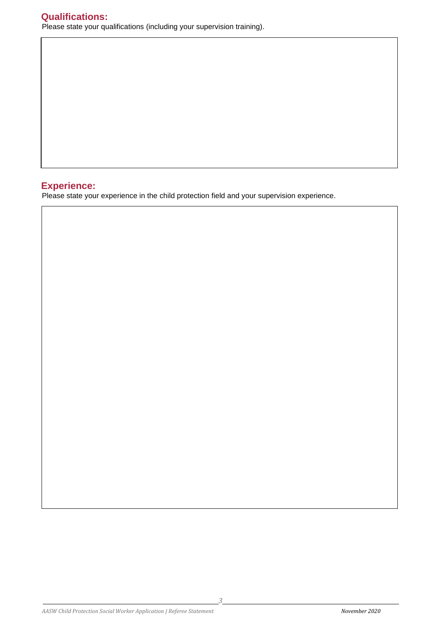## **Experience:**

Please state your experience in the child protection field and your supervision experience.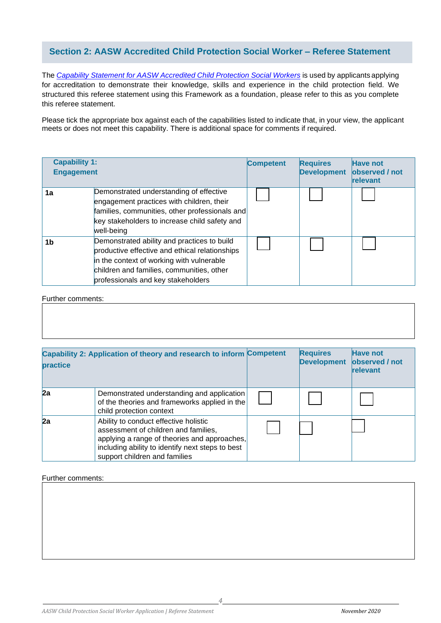#### **Section 2: AASW Accredited Child Protection Social Worker – Referee Statement**

The *Capability Statement [for AASW Accredited Child Protection](https://www.aasw.asn.au/document/item/12967) Social Workers* is used by applicants applying for accreditation to demonstrate their knowledge, skills and experience in the child protection field. We structured this referee statement using this Framework as a foundation, please refer to this as you complete this referee statement.

Please tick the appropriate box against each of the capabilities listed to indicate that, in your view, the applicant meets or does not meet this capability. There is additional space for comments if required.

|                | <b>Capability 1:</b><br><b>Engagement</b>                                                                                                                                                                                     | <b>Competent</b> | <b>Requires</b><br><b>Development</b> | <b>Have not</b><br>observed / not<br>relevant |
|----------------|-------------------------------------------------------------------------------------------------------------------------------------------------------------------------------------------------------------------------------|------------------|---------------------------------------|-----------------------------------------------|
| 1a             | Demonstrated understanding of effective<br>engagement practices with children, their<br>families, communities, other professionals and<br>key stakeholders to increase child safety and<br>well-being                         |                  |                                       |                                               |
| 1 <sub>b</sub> | Demonstrated ability and practices to build<br>productive effective and ethical relationships<br>in the context of working with vulnerable<br>children and families, communities, other<br>professionals and key stakeholders |                  |                                       |                                               |

Further comments:

| <b>practice</b> | Capability 2: Application of theory and research to inform Competent                                                                                                                                               | <b>Requires</b><br><b>Development</b> | <b>Have not</b><br>observed / not<br>relevant |
|-----------------|--------------------------------------------------------------------------------------------------------------------------------------------------------------------------------------------------------------------|---------------------------------------|-----------------------------------------------|
| 2a              | Demonstrated understanding and application<br>of the theories and frameworks applied in the<br>child protection context                                                                                            |                                       |                                               |
| 2a              | Ability to conduct effective holistic<br>assessment of children and families,<br>applying a range of theories and approaches,<br>including ability to identify next steps to best<br>support children and families |                                       |                                               |

Further comments:

*4*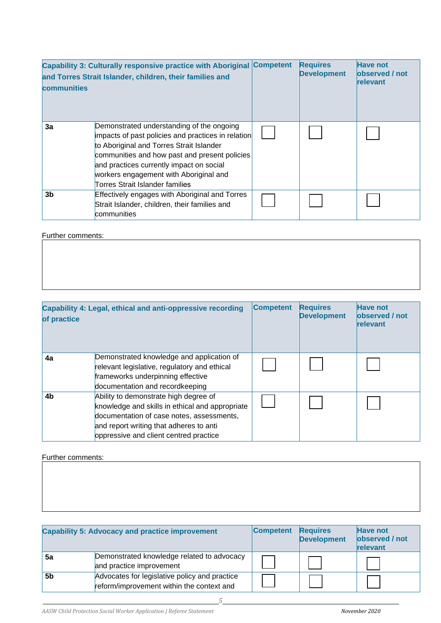| communities    | Capability 3: Culturally responsive practice with Aboriginal Competent<br>and Torres Strait Islander, children, their families and                                                                                                                                                                                    | <b>Requires</b><br><b>Development</b> | <b>Have not</b><br>observed / not<br>relevant |
|----------------|-----------------------------------------------------------------------------------------------------------------------------------------------------------------------------------------------------------------------------------------------------------------------------------------------------------------------|---------------------------------------|-----------------------------------------------|
| 3a             | Demonstrated understanding of the ongoing<br>impacts of past policies and practices in relation<br>to Aboriginal and Torres Strait Islander<br>communities and how past and present policies<br>and practices currently impact on social<br>workers engagement with Aboriginal and<br>Torres Strait Islander families |                                       |                                               |
| 3 <sub>b</sub> | Effectively engages with Aboriginal and Torres<br>Strait Islander, children, their families and<br>communities                                                                                                                                                                                                        |                                       |                                               |

Further comments:

| of practice    | Capability 4: Legal, ethical and anti-oppressive recording                                                                                                                                                                 | <b>Competent</b> | <b>Requires</b><br><b>Development</b> | <b>Have not</b><br>observed / not<br>relevant |
|----------------|----------------------------------------------------------------------------------------------------------------------------------------------------------------------------------------------------------------------------|------------------|---------------------------------------|-----------------------------------------------|
| 4a             | Demonstrated knowledge and application of<br>relevant legislative, regulatory and ethical<br>frameworks underpinning effective<br>documentation and recordkeeping                                                          |                  |                                       |                                               |
| 4 <sub>b</sub> | Ability to demonstrate high degree of<br>knowledge and skills in ethical and appropriate<br>documentation of case notes, assessments,<br>and report writing that adheres to anti<br>oppressive and client centred practice |                  |                                       |                                               |

Further comments:

|    | <b>Capability 5: Advocacy and practice improvement</b>                                     | <b>Competent</b> | <b>Requires</b><br><b>Development</b> | <b>Have not</b><br>observed / not<br>relevant |
|----|--------------------------------------------------------------------------------------------|------------------|---------------------------------------|-----------------------------------------------|
| 5a | Demonstrated knowledge related to advocacy<br>and practice improvement                     |                  |                                       |                                               |
| 5b | Advocates for legislative policy and practice<br>reform/improvement within the context and |                  |                                       |                                               |

*AASW Child Protection Social Worker Application | Referee Statement November 2020* 

*5*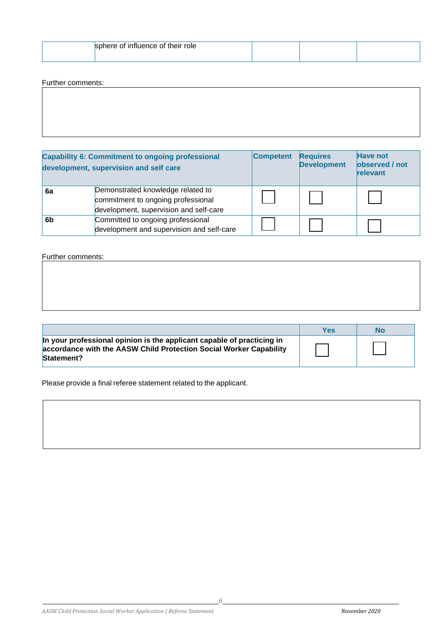| sphere of influence of their role |  |  |
|-----------------------------------|--|--|
|                                   |  |  |

#### Further comments:

|                | <b>Capability 6: Commitment to ongoing professional</b><br>development, supervision and self care                 | <b>Competent</b> | <b>Requires</b><br><b>Development</b> | <b>Have not</b><br>observed / not<br>relevant |
|----------------|-------------------------------------------------------------------------------------------------------------------|------------------|---------------------------------------|-----------------------------------------------|
| 6a             | Demonstrated knowledge related to<br>commitment to ongoing professional<br>development, supervision and self-care |                  |                                       |                                               |
| 6 <sub>b</sub> | Committed to ongoing professional<br>development and supervision and self-care                                    |                  |                                       |                                               |

#### Further comments:

|                                                                                                                                                            | Yes | No |
|------------------------------------------------------------------------------------------------------------------------------------------------------------|-----|----|
| In your professional opinion is the applicant capable of practicing in<br>accordance with the AASW Child Protection Social Worker Capability<br>Statement? |     |    |

Please provide a final referee statement related to the applicant.